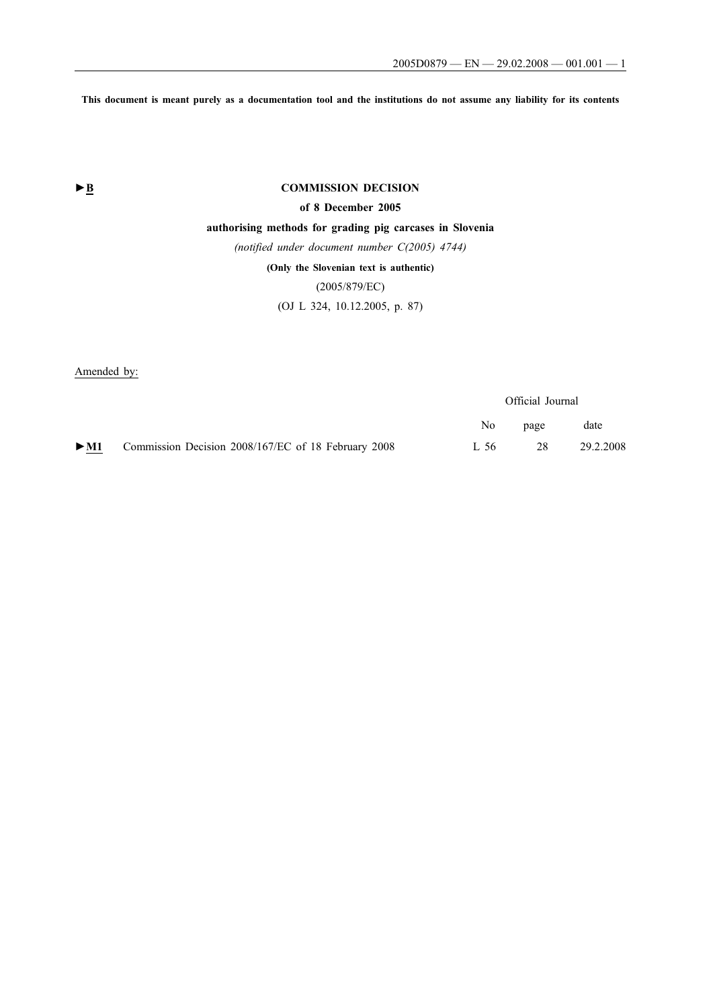**This document is meant purely as a documentation tool and the institutions do not assume any liability for its contents**

## **►B COMMISSION DECISION**

## **of 8 December 2005**

### **authorising methods for grading pig carcases in Slovenia**

*(notified under document number C(2005) 4744)*

## **(Only the Slovenian text is authentic)**

## (2005/879/EC)

## (OJ L 324, 10.12.2005, p. 87)

Amended by:

|        |                                                     | Official Journal |      |           |
|--------|-----------------------------------------------------|------------------|------|-----------|
|        |                                                     | No.              | page | date      |
| $>$ M1 | Commission Decision 2008/167/EC of 18 February 2008 | L 56             | 28   | 29.2.2008 |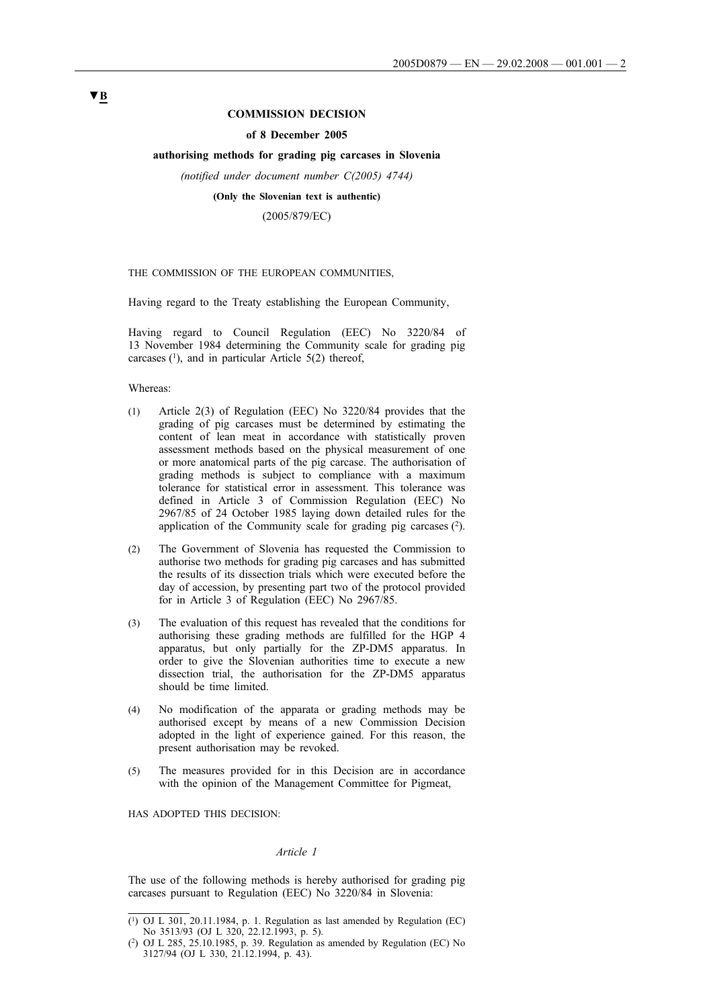#### **COMMISSION DECISION**

#### **of 8 December 2005**

#### **authorising methods for grading pig carcases in Slovenia**

*(notified under document number C(2005) 4744)*

#### **(Only the Slovenian text is authentic)**

(2005/879/EC)

#### THE COMMISSION OF THE EUROPEAN COMMUNITIES,

Having regard to the Treaty establishing the European Community,

Having regard to Council Regulation (EEC) No 3220/84 of 13 November 1984 determining the Community scale for grading pig carcases  $(1)$ , and in particular Article 5(2) thereof,

Whereas:

- (1) Article 2(3) of Regulation (EEC) No 3220/84 provides that the grading of pig carcases must be determined by estimating the content of lean meat in accordance with statistically proven assessment methods based on the physical measurement of one or more anatomical parts of the pig carcase. The authorisation of grading methods is subject to compliance with a maximum tolerance for statistical error in assessment. This tolerance was defined in Article 3 of Commission Regulation (EEC) No 2967/85 of 24 October 1985 laying down detailed rules for the application of the Community scale for grading pig carcases  $(2)$ .
- (2) The Government of Slovenia has requested the Commission to authorise two methods for grading pig carcases and has submitted the results of its dissection trials which were executed before the day of accession, by presenting part two of the protocol provided for in Article 3 of Regulation (EEC) No 2967/85.
- (3) The evaluation of this request has revealed that the conditions for authorising these grading methods are fulfilled for the HGP 4 apparatus, but only partially for the ZP-DM5 apparatus. In order to give the Slovenian authorities time to execute a new dissection trial, the authorisation for the ZP-DM5 apparatus should be time limited.
- (4) No modification of the apparata or grading methods may be authorised except by means of a new Commission Decision adopted in the light of experience gained. For this reason, the present authorisation may be revoked.
- (5) The measures provided for in this Decision are in accordance with the opinion of the Management Committee for Pigmeat,

HAS ADOPTED THIS DECISION:

#### *Article 1*

The use of the following methods is hereby authorised for grading pig carcases pursuant to Regulation (EEC) No 3220/84 in Slovenia:

## **▼B**

 $(1)$  OJ L 301, 20.11.1984, p. 1. Regulation as last amended by Regulation (EC) No 3513/93 (OJ L 320, 22.12.1993, p. 5).

<sup>(2)</sup> OJ L 285, 25.10.1985, p. 39. Regulation as amended by Regulation (EC) No 3127/94 (OJ L 330, 21.12.1994, p. 43).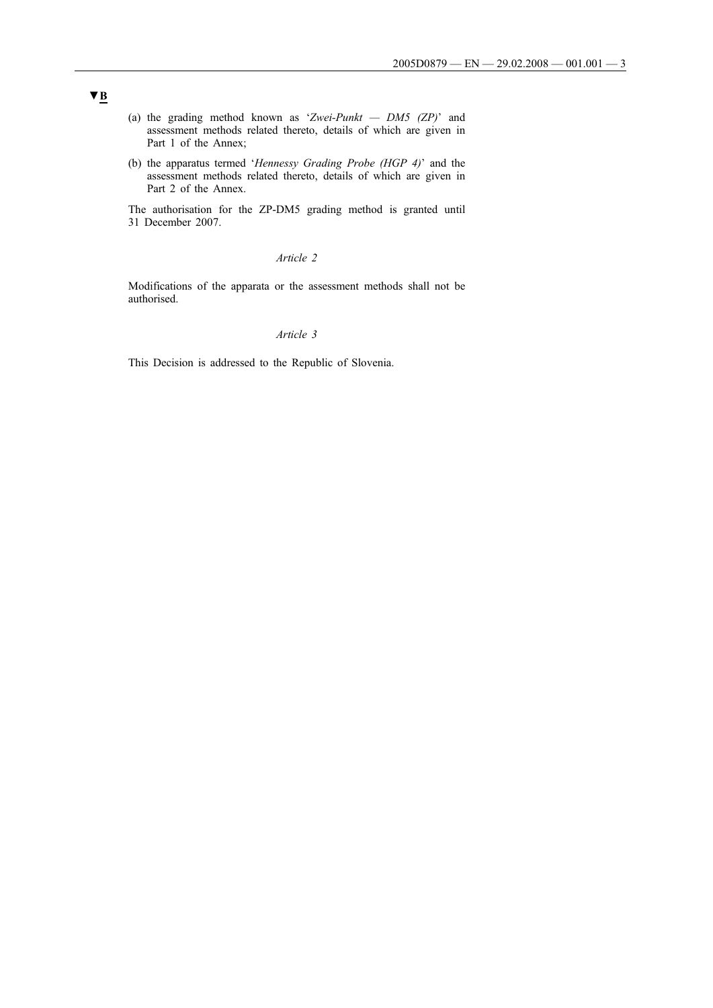- (a) the grading method known as '*Zwei-Punkt — DM5 (ZP)*' and assessment methods related thereto, details of which are given in Part 1 of the Annex;
- (b) the apparatus termed '*Hennessy Grading Probe (HGP 4)*' and the assessment methods related thereto, details of which are given in Part 2 of the Annex.

The authorisation for the ZP-DM5 grading method is granted until 31 December 2007.

### *Article 2*

Modifications of the apparata or the assessment methods shall not be authorised.

## *Article 3*

This Decision is addressed to the Republic of Slovenia.

# **▼B**